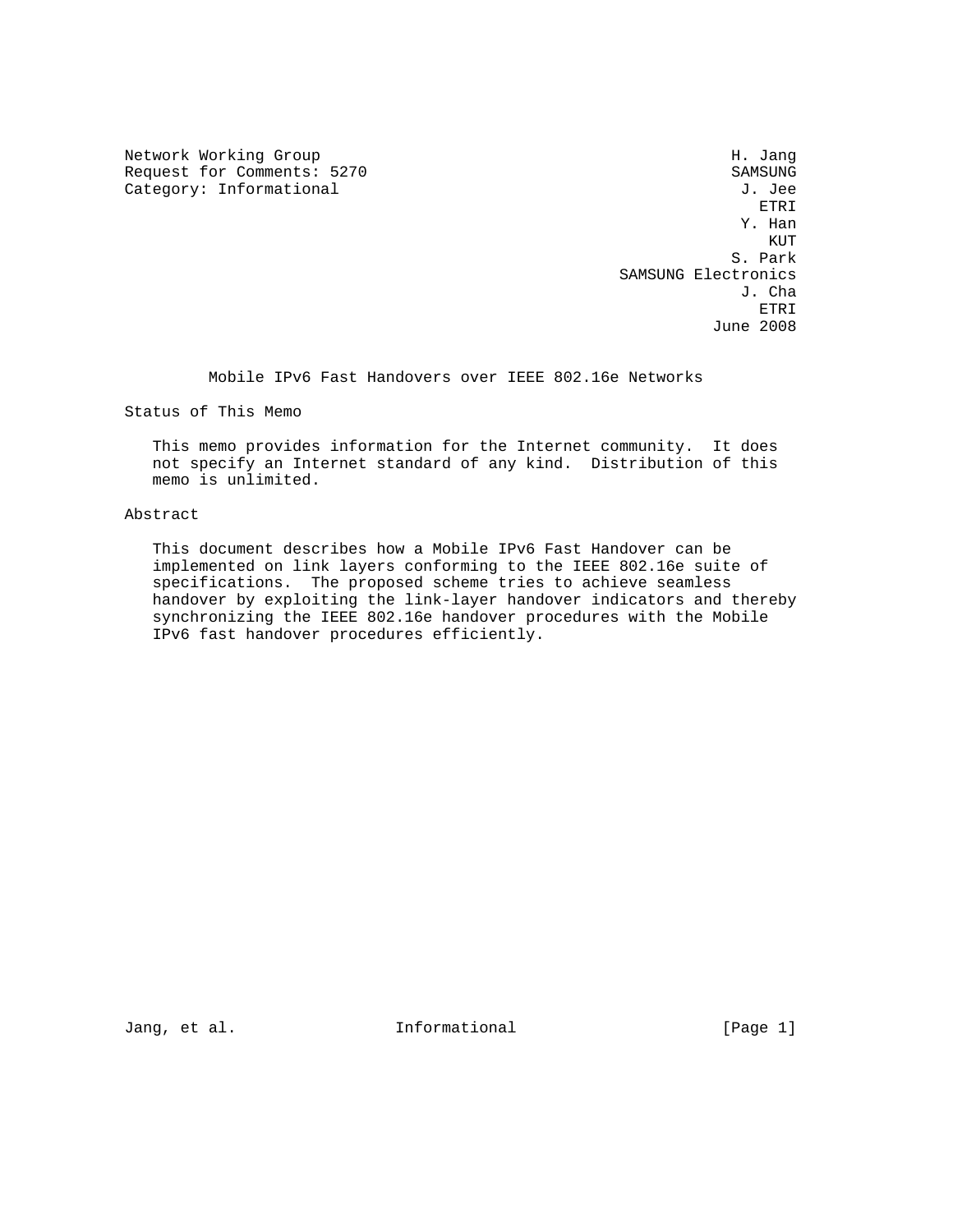Network Working Group Network Months and Manual Methods and Manual Methods and Manual Methods and Manual Methods and Manual Methods and Manual Methods and Manual Methods and Manual Methods and Manual Methods and Manual Met Request for Comments: 5270 SAMSUNG<br>
Category: Informational Samsung J. Jee

Category: Informational J. Jee<br>ETRI ETRI Y. Han **KUT** STATES AND THE RESEARCH STATES OF THE RESEARCH STATES AND RESEARCH STATES AND RESEARCH STATES OF THE RESEARCH STATES AND RESEARCH STATES AND RESEARCH STATES AND RESEARCH STATES AND RESEARCH STATES AND RESEARCH STATES S. Park SAMSUNG Electronics<br>J. Cha J. Cha ETRI June 2008

Mobile IPv6 Fast Handovers over IEEE 802.16e Networks

Status of This Memo

 This memo provides information for the Internet community. It does not specify an Internet standard of any kind. Distribution of this memo is unlimited.

# Abstract

 This document describes how a Mobile IPv6 Fast Handover can be implemented on link layers conforming to the IEEE 802.16e suite of specifications. The proposed scheme tries to achieve seamless handover by exploiting the link-layer handover indicators and thereby synchronizing the IEEE 802.16e handover procedures with the Mobile IPv6 fast handover procedures efficiently.

Jang, et al. 10. Informational 1. [Page 1]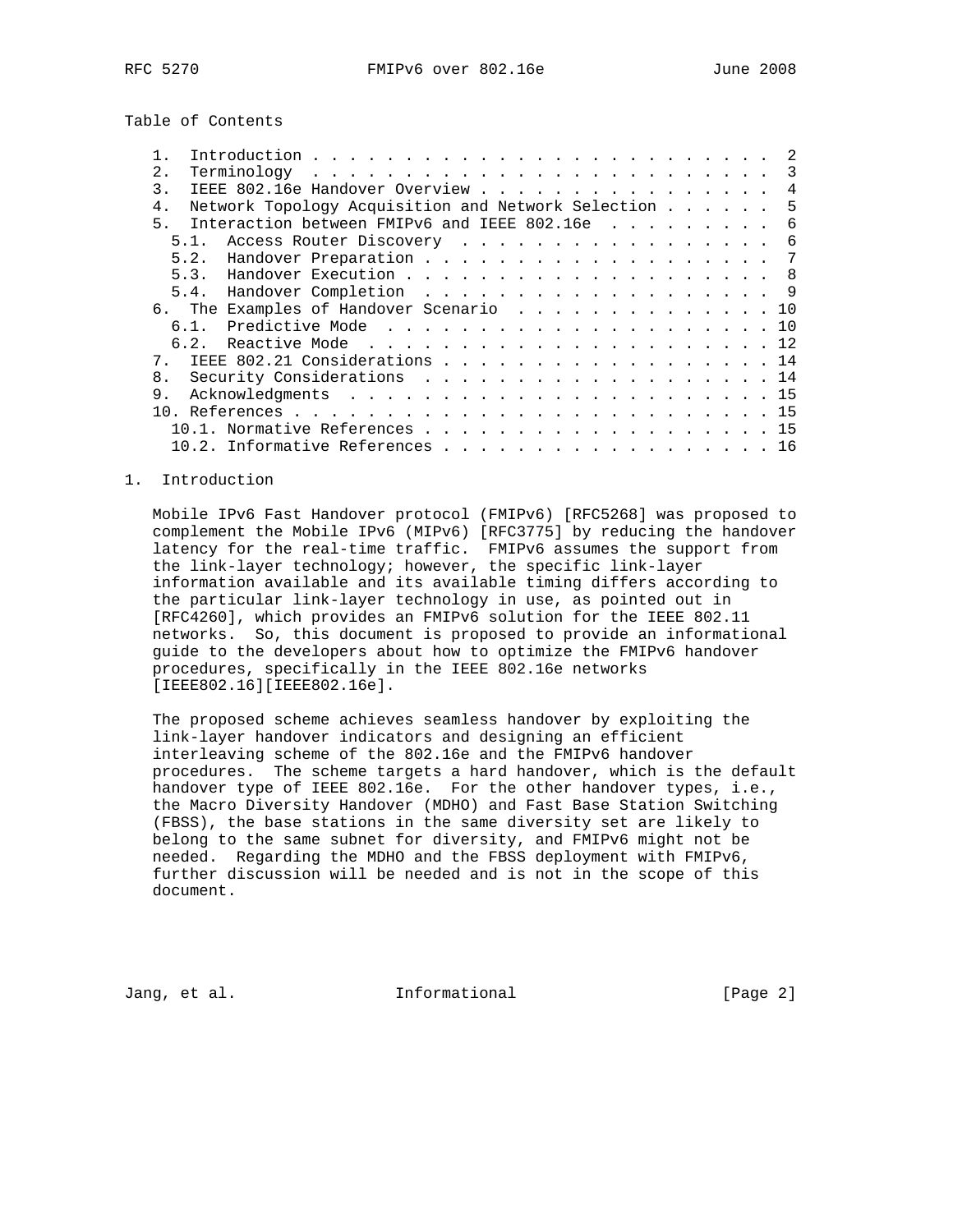Table of Contents

| $2$ .<br>$Terminology \ldots \ldots \ldots \ldots \ldots \ldots \ldots \ldots \ldots$ |  |  |  | 3   |
|---------------------------------------------------------------------------------------|--|--|--|-----|
| IEEE 802.16e Handover Overview<br>3.                                                  |  |  |  | 4   |
| Network Topology Acquisition and Network Selection<br>$4$ .                           |  |  |  | -5  |
| Interaction between FMIPv6 and IEEE 802.16e<br>5.                                     |  |  |  | 6   |
| Access Router Discovery<br>5.1.                                                       |  |  |  | - 6 |
|                                                                                       |  |  |  | - 7 |
| 5.3. Handover Execution 8                                                             |  |  |  |     |
| 5.4. Handover Completion 9                                                            |  |  |  |     |
| 6. The Examples of Handover Scenario 10                                               |  |  |  |     |
| $6.1$ .                                                                               |  |  |  |     |
|                                                                                       |  |  |  |     |
| IEEE 802.21 Considerations 14<br>7                                                    |  |  |  |     |
| Security Considerations 14<br>8.                                                      |  |  |  |     |
| 9.                                                                                    |  |  |  |     |
| 1 N                                                                                   |  |  |  |     |
| 10.1. Normative References 15                                                         |  |  |  |     |
|                                                                                       |  |  |  | 16  |

# 1. Introduction

 Mobile IPv6 Fast Handover protocol (FMIPv6) [RFC5268] was proposed to complement the Mobile IPv6 (MIPv6) [RFC3775] by reducing the handover latency for the real-time traffic. FMIPv6 assumes the support from the link-layer technology; however, the specific link-layer information available and its available timing differs according to the particular link-layer technology in use, as pointed out in [RFC4260], which provides an FMIPv6 solution for the IEEE 802.11 networks. So, this document is proposed to provide an informational guide to the developers about how to optimize the FMIPv6 handover procedures, specifically in the IEEE 802.16e networks [IEEE802.16][IEEE802.16e].

 The proposed scheme achieves seamless handover by exploiting the link-layer handover indicators and designing an efficient interleaving scheme of the 802.16e and the FMIPv6 handover procedures. The scheme targets a hard handover, which is the default handover type of IEEE 802.16e. For the other handover types, i.e., the Macro Diversity Handover (MDHO) and Fast Base Station Switching (FBSS), the base stations in the same diversity set are likely to belong to the same subnet for diversity, and FMIPv6 might not be needed. Regarding the MDHO and the FBSS deployment with FMIPv6, further discussion will be needed and is not in the scope of this document.

Jang, et al. 10. Informational 1. The leage 2]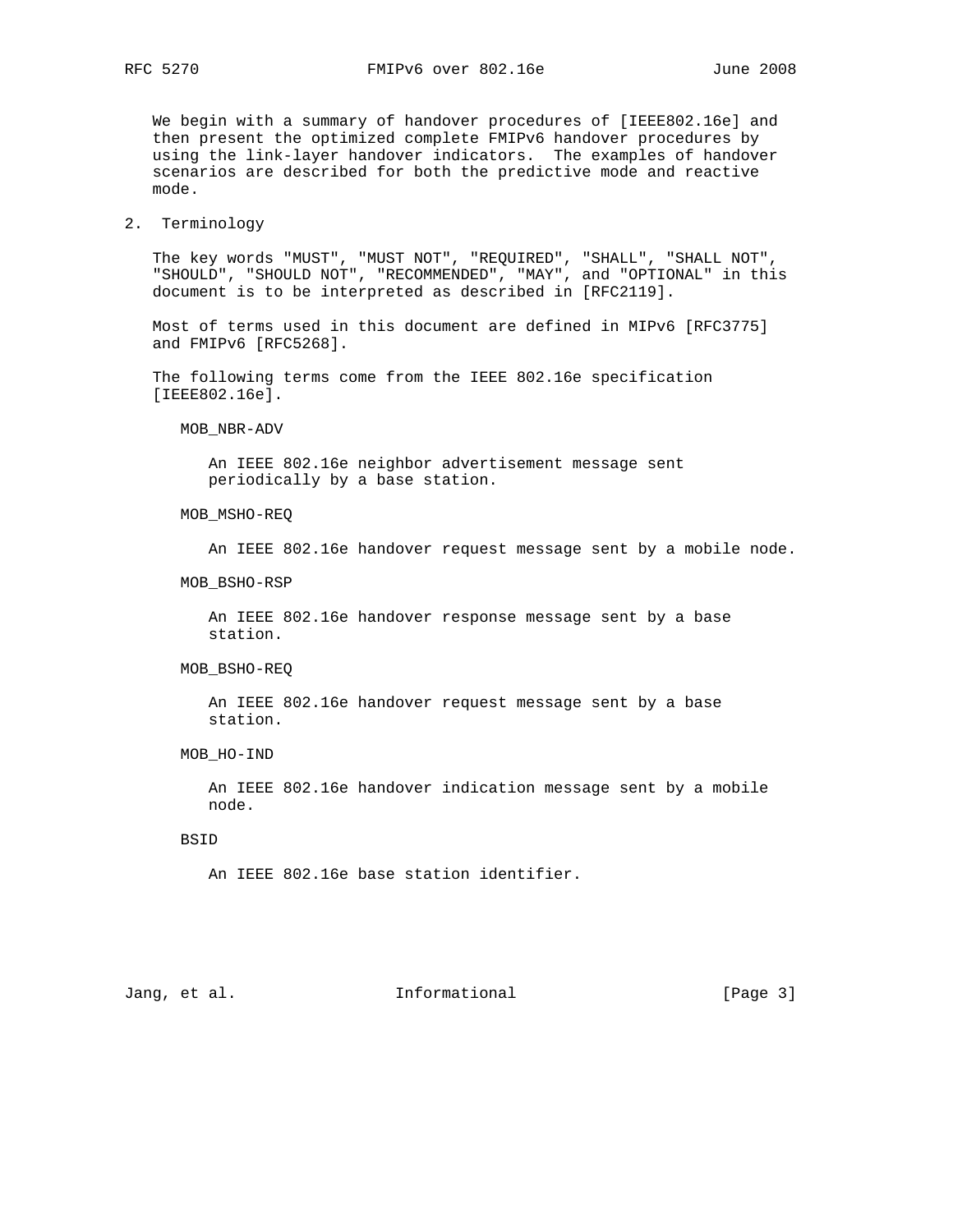We begin with a summary of handover procedures of [IEEE802.16e] and then present the optimized complete FMIPv6 handover procedures by using the link-layer handover indicators. The examples of handover scenarios are described for both the predictive mode and reactive mode.

## 2. Terminology

 The key words "MUST", "MUST NOT", "REQUIRED", "SHALL", "SHALL NOT", "SHOULD", "SHOULD NOT", "RECOMMENDED", "MAY", and "OPTIONAL" in this document is to be interpreted as described in [RFC2119].

 Most of terms used in this document are defined in MIPv6 [RFC3775] and FMIPv6 [RFC5268].

 The following terms come from the IEEE 802.16e specification [IEEE802.16e].

## MOB\_NBR-ADV

 An IEEE 802.16e neighbor advertisement message sent periodically by a base station.

## MOB\_MSHO-REQ

An IEEE 802.16e handover request message sent by a mobile node.

#### MOB\_BSHO-RSP

 An IEEE 802.16e handover response message sent by a base station.

## MOB\_BSHO-REQ

 An IEEE 802.16e handover request message sent by a base station.

# MOB\_HO-IND

 An IEEE 802.16e handover indication message sent by a mobile node.

## BSID

An IEEE 802.16e base station identifier.

# Jang, et al. 10. Informational 1. [Page 3]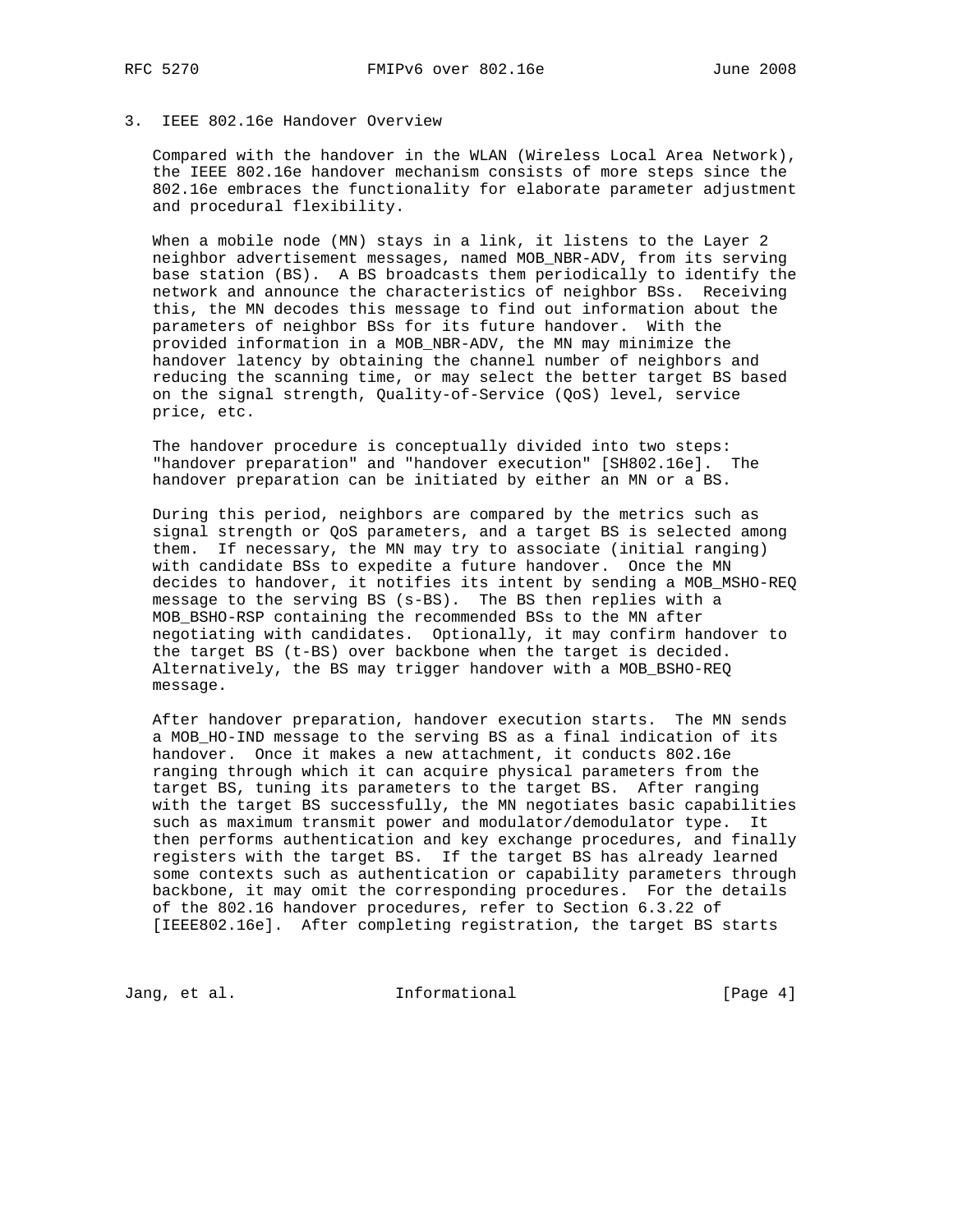# 3. IEEE 802.16e Handover Overview

 Compared with the handover in the WLAN (Wireless Local Area Network), the IEEE 802.16e handover mechanism consists of more steps since the 802.16e embraces the functionality for elaborate parameter adjustment and procedural flexibility.

 When a mobile node (MN) stays in a link, it listens to the Layer 2 neighbor advertisement messages, named MOB\_NBR-ADV, from its serving base station (BS). A BS broadcasts them periodically to identify the network and announce the characteristics of neighbor BSs. Receiving this, the MN decodes this message to find out information about the parameters of neighbor BSs for its future handover. With the provided information in a MOB\_NBR-ADV, the MN may minimize the handover latency by obtaining the channel number of neighbors and reducing the scanning time, or may select the better target BS based on the signal strength, Quality-of-Service (QoS) level, service price, etc.

 The handover procedure is conceptually divided into two steps: "handover preparation" and "handover execution" [SH802.16e]. The handover preparation can be initiated by either an MN or a BS.

 During this period, neighbors are compared by the metrics such as signal strength or QoS parameters, and a target BS is selected among them. If necessary, the MN may try to associate (initial ranging) with candidate BSs to expedite a future handover. Once the MN decides to handover, it notifies its intent by sending a MOB\_MSHO-REQ message to the serving BS (s-BS). The BS then replies with a MOB\_BSHO-RSP containing the recommended BSs to the MN after negotiating with candidates. Optionally, it may confirm handover to the target BS (t-BS) over backbone when the target is decided. Alternatively, the BS may trigger handover with a MOB\_BSHO-REQ message.

 After handover preparation, handover execution starts. The MN sends a MOB\_HO-IND message to the serving BS as a final indication of its handover. Once it makes a new attachment, it conducts 802.16e ranging through which it can acquire physical parameters from the target BS, tuning its parameters to the target BS. After ranging with the target BS successfully, the MN negotiates basic capabilities such as maximum transmit power and modulator/demodulator type. It then performs authentication and key exchange procedures, and finally registers with the target BS. If the target BS has already learned some contexts such as authentication or capability parameters through backbone, it may omit the corresponding procedures. For the details of the 802.16 handover procedures, refer to Section 6.3.22 of [IEEE802.16e]. After completing registration, the target BS starts

Jang, et al. 10. Informational 1. [Page 4]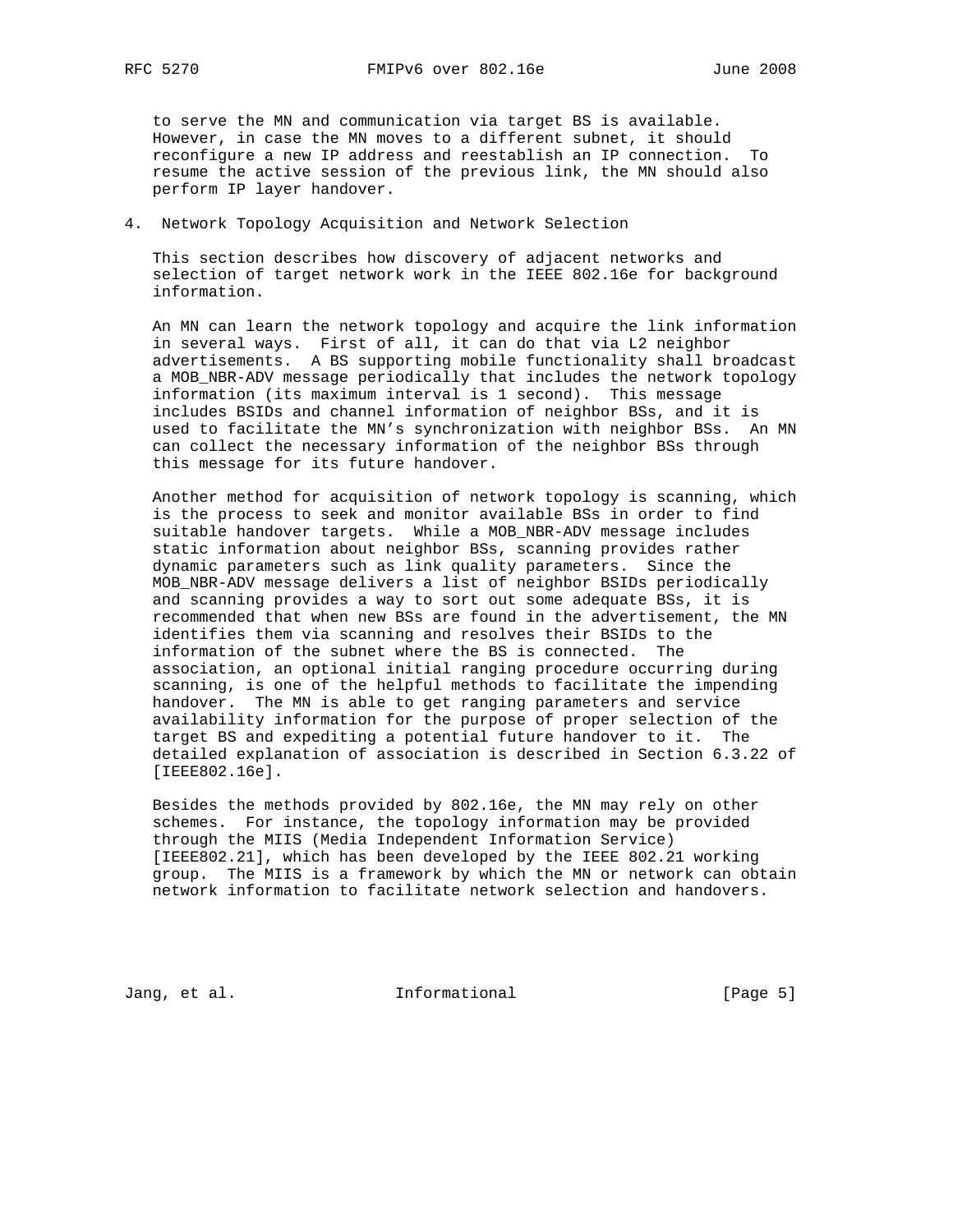to serve the MN and communication via target BS is available. However, in case the MN moves to a different subnet, it should reconfigure a new IP address and reestablish an IP connection. To resume the active session of the previous link, the MN should also perform IP layer handover.

## 4. Network Topology Acquisition and Network Selection

 This section describes how discovery of adjacent networks and selection of target network work in the IEEE 802.16e for background information.

 An MN can learn the network topology and acquire the link information in several ways. First of all, it can do that via L2 neighbor advertisements. A BS supporting mobile functionality shall broadcast a MOB\_NBR-ADV message periodically that includes the network topology information (its maximum interval is 1 second). This message includes BSIDs and channel information of neighbor BSs, and it is used to facilitate the MN's synchronization with neighbor BSs. An MN can collect the necessary information of the neighbor BSs through this message for its future handover.

 Another method for acquisition of network topology is scanning, which is the process to seek and monitor available BSs in order to find suitable handover targets. While a MOB\_NBR-ADV message includes static information about neighbor BSs, scanning provides rather dynamic parameters such as link quality parameters. Since the MOB\_NBR-ADV message delivers a list of neighbor BSIDs periodically and scanning provides a way to sort out some adequate BSs, it is recommended that when new BSs are found in the advertisement, the MN identifies them via scanning and resolves their BSIDs to the information of the subnet where the BS is connected. The association, an optional initial ranging procedure occurring during scanning, is one of the helpful methods to facilitate the impending handover. The MN is able to get ranging parameters and service availability information for the purpose of proper selection of the target BS and expediting a potential future handover to it. The detailed explanation of association is described in Section 6.3.22 of [IEEE802.16e].

 Besides the methods provided by 802.16e, the MN may rely on other schemes. For instance, the topology information may be provided through the MIIS (Media Independent Information Service) [IEEE802.21], which has been developed by the IEEE 802.21 working group. The MIIS is a framework by which the MN or network can obtain network information to facilitate network selection and handovers.

Jang, et al. 10 1nformational 100 minutional [Page 5]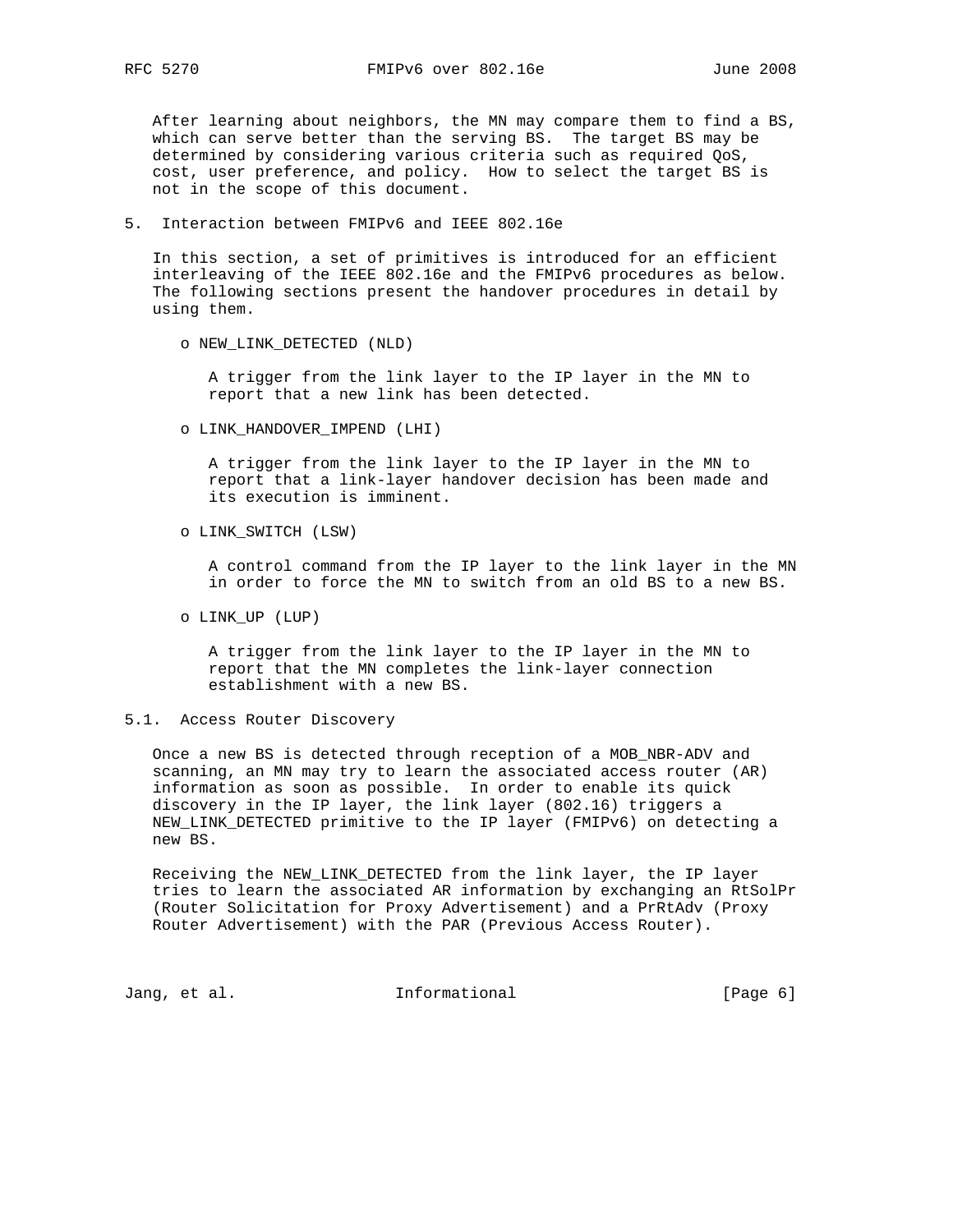After learning about neighbors, the MN may compare them to find a BS, which can serve better than the serving BS. The target BS may be determined by considering various criteria such as required QoS, cost, user preference, and policy. How to select the target BS is not in the scope of this document.

5. Interaction between FMIPv6 and IEEE 802.16e

 In this section, a set of primitives is introduced for an efficient interleaving of the IEEE 802.16e and the FMIPv6 procedures as below. The following sections present the handover procedures in detail by using them.

o NEW\_LINK\_DETECTED (NLD)

 A trigger from the link layer to the IP layer in the MN to report that a new link has been detected.

o LINK\_HANDOVER\_IMPEND (LHI)

 A trigger from the link layer to the IP layer in the MN to report that a link-layer handover decision has been made and its execution is imminent.

o LINK\_SWITCH (LSW)

 A control command from the IP layer to the link layer in the MN in order to force the MN to switch from an old BS to a new BS.

o LINK\_UP (LUP)

 A trigger from the link layer to the IP layer in the MN to report that the MN completes the link-layer connection establishment with a new BS.

5.1. Access Router Discovery

 Once a new BS is detected through reception of a MOB\_NBR-ADV and scanning, an MN may try to learn the associated access router (AR) information as soon as possible. In order to enable its quick discovery in the IP layer, the link layer (802.16) triggers a NEW\_LINK\_DETECTED primitive to the IP layer (FMIPv6) on detecting a new BS.

 Receiving the NEW\_LINK\_DETECTED from the link layer, the IP layer tries to learn the associated AR information by exchanging an RtSolPr (Router Solicitation for Proxy Advertisement) and a PrRtAdv (Proxy Router Advertisement) with the PAR (Previous Access Router).

Jang, et al. 10 1nformational 100 mm [Page 6]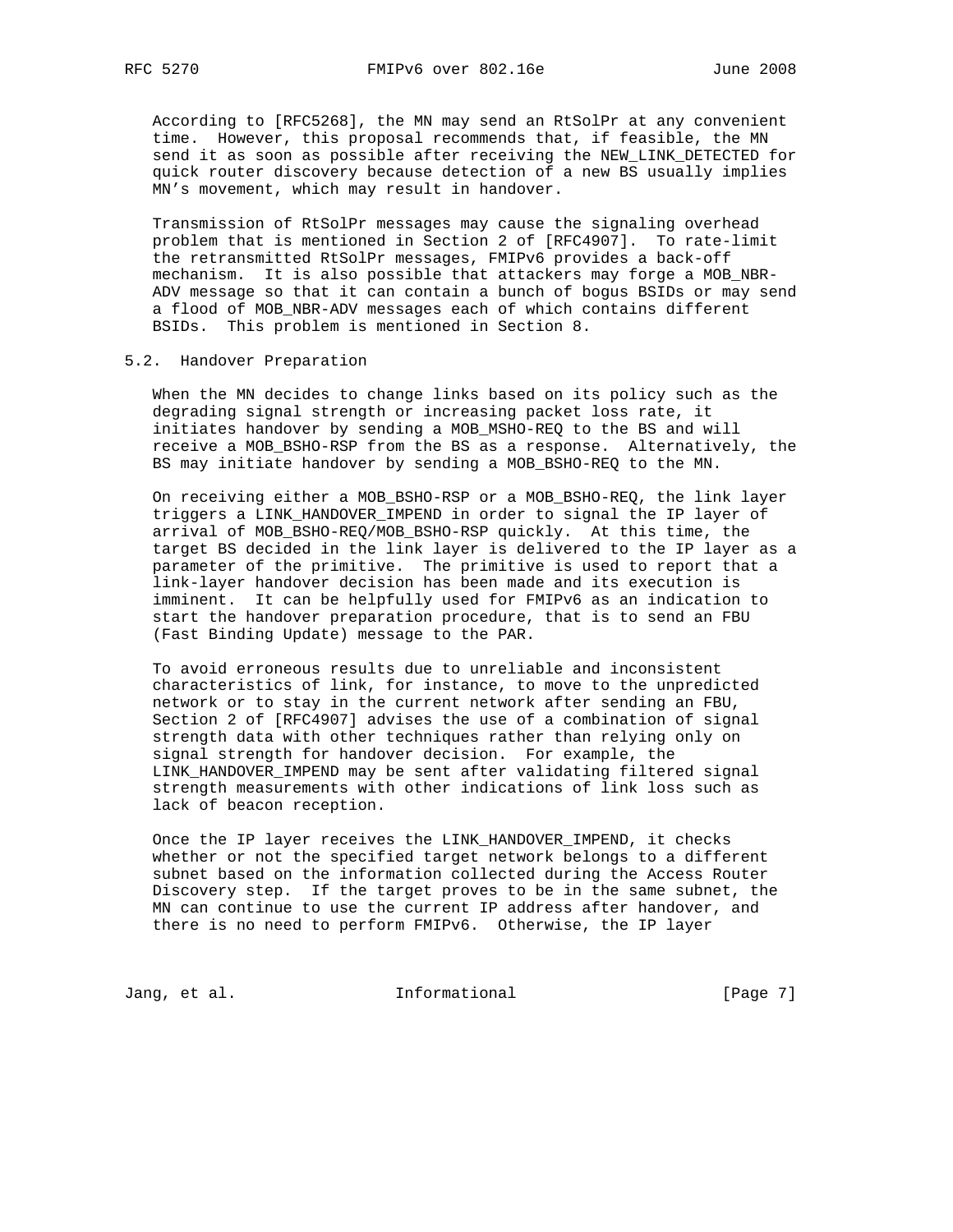According to [RFC5268], the MN may send an RtSolPr at any convenient time. However, this proposal recommends that, if feasible, the MN send it as soon as possible after receiving the NEW\_LINK\_DETECTED for quick router discovery because detection of a new BS usually implies MN's movement, which may result in handover.

 Transmission of RtSolPr messages may cause the signaling overhead problem that is mentioned in Section 2 of [RFC4907]. To rate-limit the retransmitted RtSolPr messages, FMIPv6 provides a back-off mechanism. It is also possible that attackers may forge a MOB\_NBR- ADV message so that it can contain a bunch of bogus BSIDs or may send a flood of MOB\_NBR-ADV messages each of which contains different BSIDs. This problem is mentioned in Section 8.

# 5.2. Handover Preparation

 When the MN decides to change links based on its policy such as the degrading signal strength or increasing packet loss rate, it initiates handover by sending a MOB\_MSHO-REQ to the BS and will receive a MOB\_BSHO-RSP from the BS as a response. Alternatively, the BS may initiate handover by sending a MOB\_BSHO-REQ to the MN.

 On receiving either a MOB\_BSHO-RSP or a MOB\_BSHO-REQ, the link layer triggers a LINK\_HANDOVER\_IMPEND in order to signal the IP layer of arrival of MOB\_BSHO-REQ/MOB\_BSHO-RSP quickly. At this time, the target BS decided in the link layer is delivered to the IP layer as a parameter of the primitive. The primitive is used to report that a link-layer handover decision has been made and its execution is imminent. It can be helpfully used for FMIPv6 as an indication to start the handover preparation procedure, that is to send an FBU (Fast Binding Update) message to the PAR.

 To avoid erroneous results due to unreliable and inconsistent characteristics of link, for instance, to move to the unpredicted network or to stay in the current network after sending an FBU, Section 2 of [RFC4907] advises the use of a combination of signal strength data with other techniques rather than relying only on signal strength for handover decision. For example, the LINK\_HANDOVER\_IMPEND may be sent after validating filtered signal strength measurements with other indications of link loss such as lack of beacon reception.

 Once the IP layer receives the LINK\_HANDOVER\_IMPEND, it checks whether or not the specified target network belongs to a different subnet based on the information collected during the Access Router Discovery step. If the target proves to be in the same subnet, the MN can continue to use the current IP address after handover, and there is no need to perform FMIPv6. Otherwise, the IP layer

Jang, et al. 10. Informational 1. [Page 7]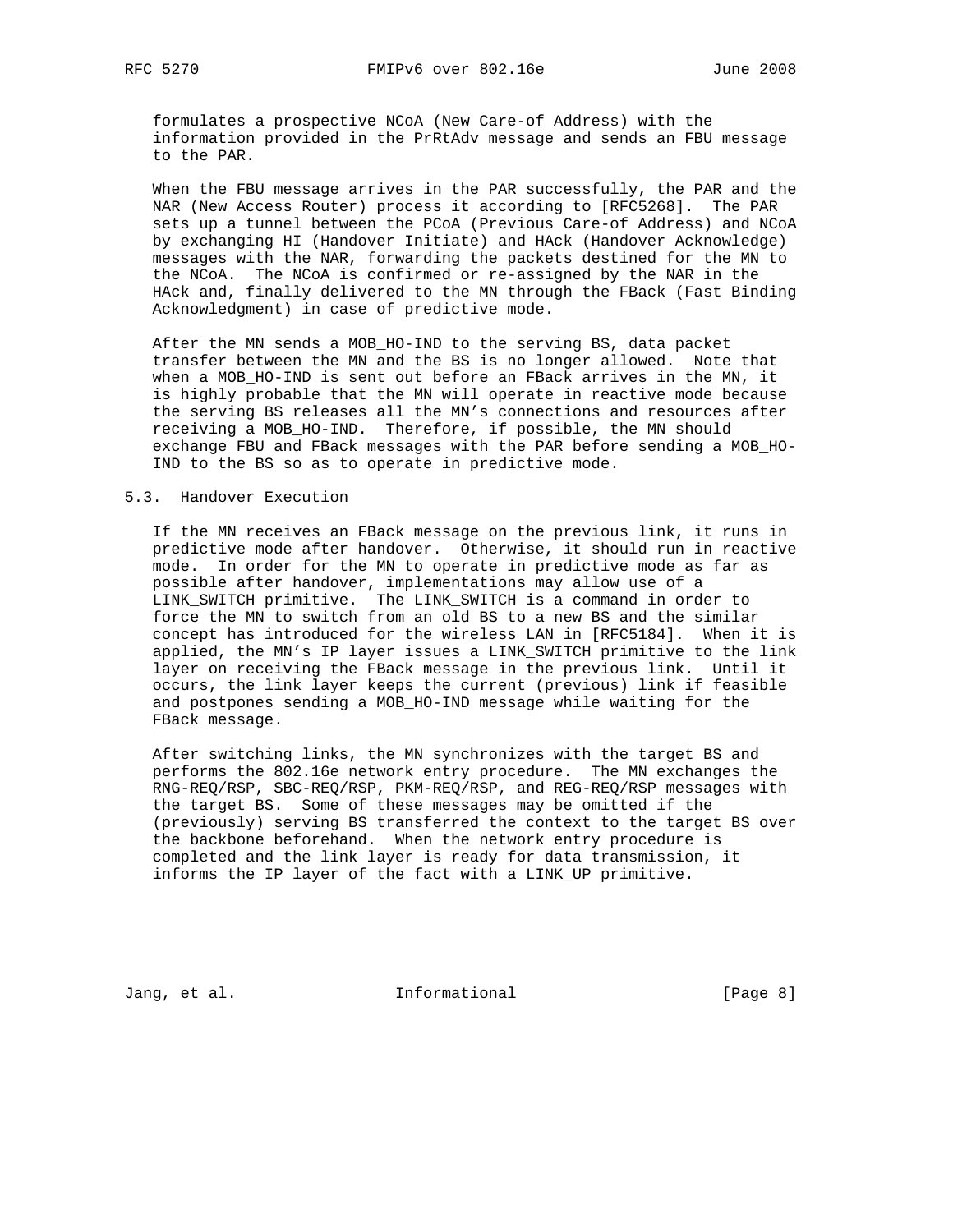formulates a prospective NCoA (New Care-of Address) with the information provided in the PrRtAdv message and sends an FBU message to the PAR.

 When the FBU message arrives in the PAR successfully, the PAR and the NAR (New Access Router) process it according to [RFC5268]. The PAR sets up a tunnel between the PCoA (Previous Care-of Address) and NCoA by exchanging HI (Handover Initiate) and HAck (Handover Acknowledge) messages with the NAR, forwarding the packets destined for the MN to the NCoA. The NCoA is confirmed or re-assigned by the NAR in the HAck and, finally delivered to the MN through the FBack (Fast Binding Acknowledgment) in case of predictive mode.

 After the MN sends a MOB\_HO-IND to the serving BS, data packet transfer between the MN and the BS is no longer allowed. Note that when a MOB\_HO-IND is sent out before an FBack arrives in the MN, it is highly probable that the MN will operate in reactive mode because the serving BS releases all the MN's connections and resources after receiving a MOB\_HO-IND. Therefore, if possible, the MN should exchange FBU and FBack messages with the PAR before sending a MOB\_HO- IND to the BS so as to operate in predictive mode.

# 5.3. Handover Execution

 If the MN receives an FBack message on the previous link, it runs in predictive mode after handover. Otherwise, it should run in reactive mode. In order for the MN to operate in predictive mode as far as possible after handover, implementations may allow use of a LINK\_SWITCH primitive. The LINK\_SWITCH is a command in order to force the MN to switch from an old BS to a new BS and the similar concept has introduced for the wireless LAN in [RFC5184]. When it is applied, the MN's IP layer issues a LINK\_SWITCH primitive to the link layer on receiving the FBack message in the previous link. Until it occurs, the link layer keeps the current (previous) link if feasible and postpones sending a MOB\_HO-IND message while waiting for the FBack message.

 After switching links, the MN synchronizes with the target BS and performs the 802.16e network entry procedure. The MN exchanges the RNG-REQ/RSP, SBC-REQ/RSP, PKM-REQ/RSP, and REG-REQ/RSP messages with the target BS. Some of these messages may be omitted if the (previously) serving BS transferred the context to the target BS over the backbone beforehand. When the network entry procedure is completed and the link layer is ready for data transmission, it informs the IP layer of the fact with a LINK\_UP primitive.

Jang, et al. 10 1nformational 100 minutional [Page 8]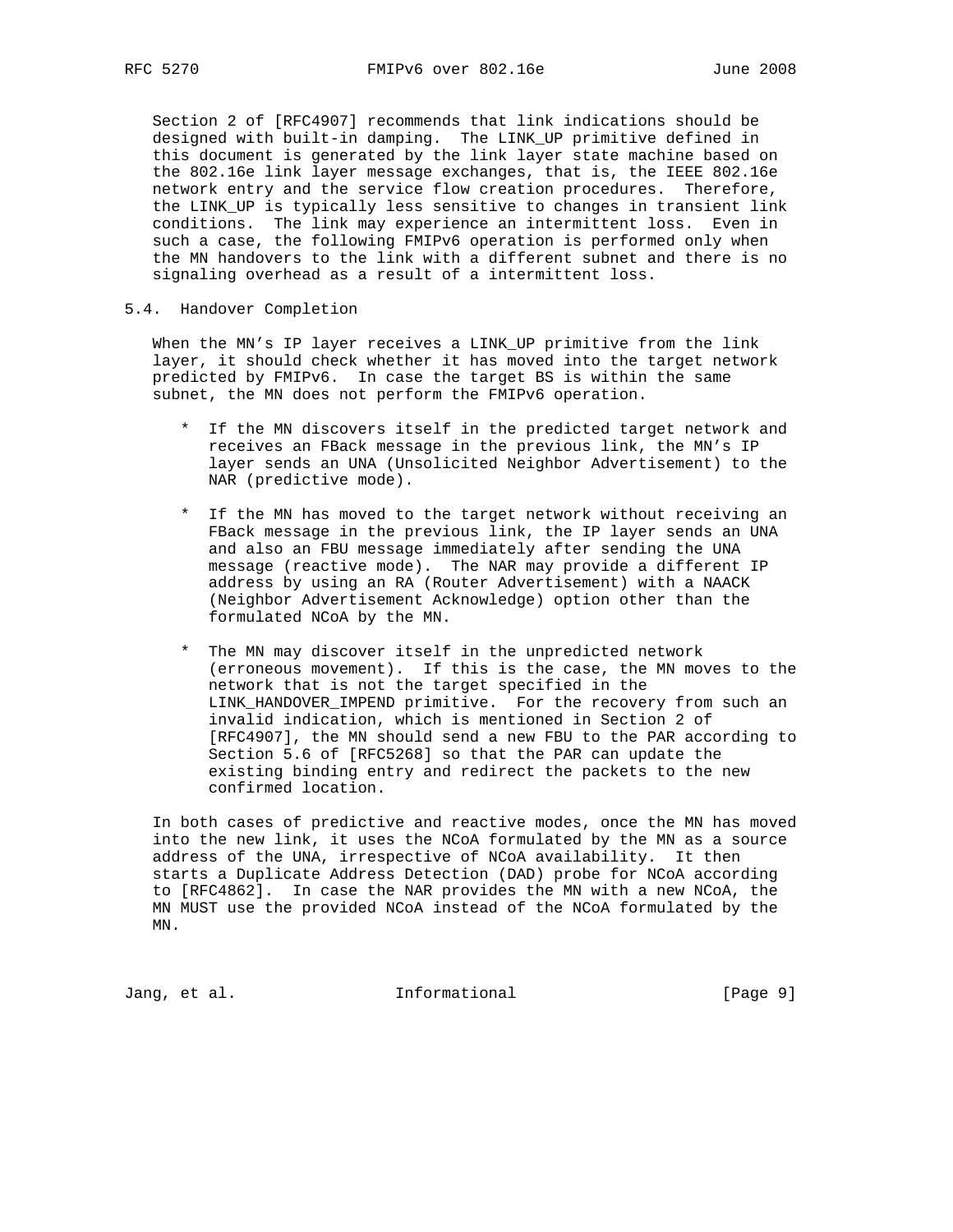Section 2 of [RFC4907] recommends that link indications should be designed with built-in damping. The LINK\_UP primitive defined in this document is generated by the link layer state machine based on the 802.16e link layer message exchanges, that is, the IEEE 802.16e network entry and the service flow creation procedures. Therefore, the LINK\_UP is typically less sensitive to changes in transient link conditions. The link may experience an intermittent loss. Even in such a case, the following FMIPv6 operation is performed only when the MN handovers to the link with a different subnet and there is no signaling overhead as a result of a intermittent loss.

5.4. Handover Completion

 When the MN's IP layer receives a LINK\_UP primitive from the link layer, it should check whether it has moved into the target network predicted by FMIPv6. In case the target BS is within the same subnet, the MN does not perform the FMIPv6 operation.

- \* If the MN discovers itself in the predicted target network and receives an FBack message in the previous link, the MN's IP layer sends an UNA (Unsolicited Neighbor Advertisement) to the NAR (predictive mode).
- \* If the MN has moved to the target network without receiving an FBack message in the previous link, the IP layer sends an UNA and also an FBU message immediately after sending the UNA message (reactive mode). The NAR may provide a different IP address by using an RA (Router Advertisement) with a NAACK (Neighbor Advertisement Acknowledge) option other than the formulated NCoA by the MN.
- \* The MN may discover itself in the unpredicted network (erroneous movement). If this is the case, the MN moves to the network that is not the target specified in the LINK\_HANDOVER\_IMPEND primitive. For the recovery from such an invalid indication, which is mentioned in Section 2 of [RFC4907], the MN should send a new FBU to the PAR according to Section 5.6 of [RFC5268] so that the PAR can update the existing binding entry and redirect the packets to the new confirmed location.

 In both cases of predictive and reactive modes, once the MN has moved into the new link, it uses the NCoA formulated by the MN as a source address of the UNA, irrespective of NCoA availability. It then starts a Duplicate Address Detection (DAD) probe for NCoA according to [RFC4862]. In case the NAR provides the MN with a new NCoA, the MN MUST use the provided NCoA instead of the NCoA formulated by the MN.

Jang, et al. 10. Informational 1. [Page 9]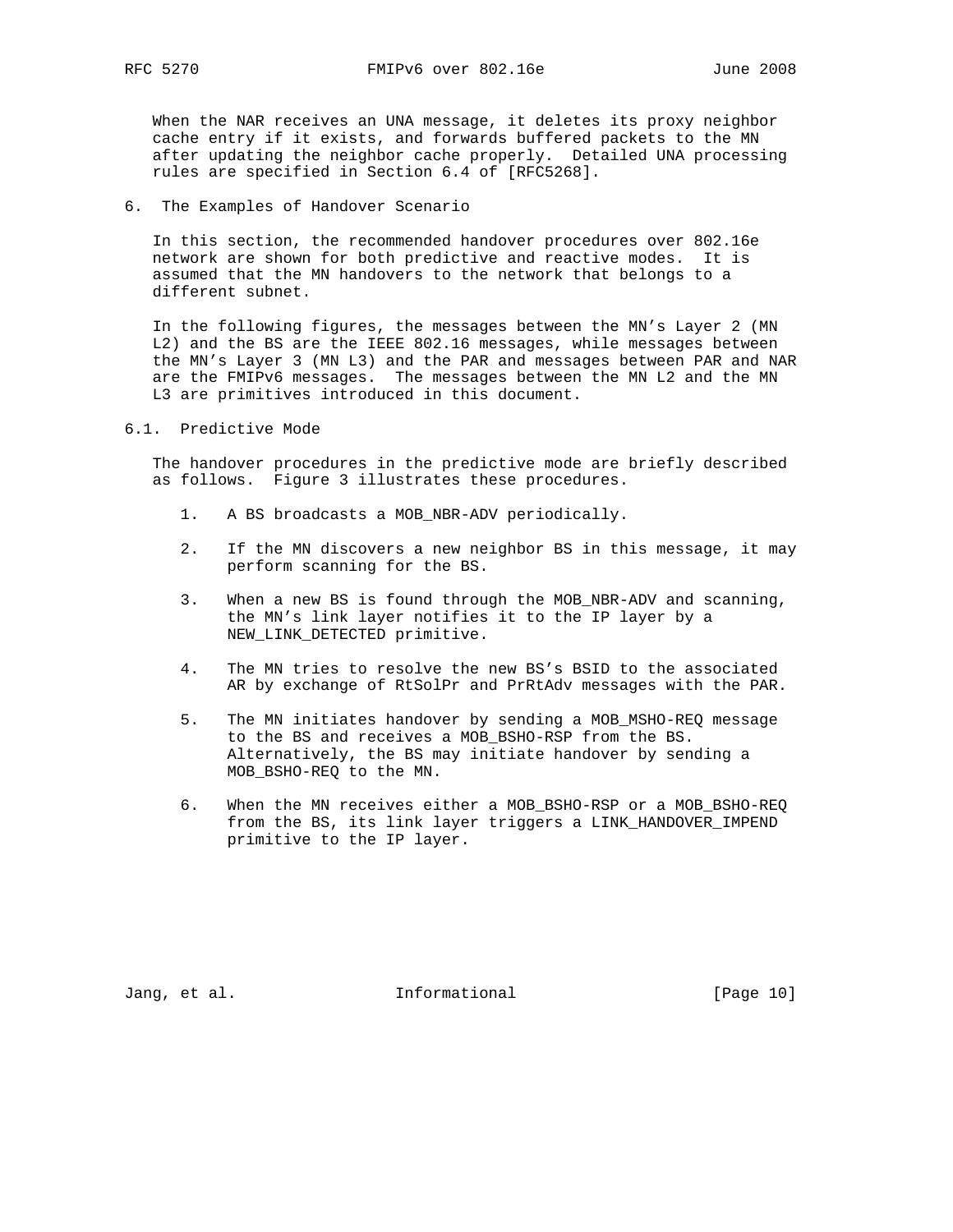When the NAR receives an UNA message, it deletes its proxy neighbor cache entry if it exists, and forwards buffered packets to the MN after updating the neighbor cache properly. Detailed UNA processing rules are specified in Section 6.4 of [RFC5268].

6. The Examples of Handover Scenario

 In this section, the recommended handover procedures over 802.16e network are shown for both predictive and reactive modes. It is assumed that the MN handovers to the network that belongs to a different subnet.

 In the following figures, the messages between the MN's Layer 2 (MN L2) and the BS are the IEEE 802.16 messages, while messages between the MN's Layer 3 (MN L3) and the PAR and messages between PAR and NAR are the FMIPv6 messages. The messages between the MN L2 and the MN L3 are primitives introduced in this document.

## 6.1. Predictive Mode

 The handover procedures in the predictive mode are briefly described as follows. Figure 3 illustrates these procedures.

- 1. A BS broadcasts a MOB\_NBR-ADV periodically.
- 2. If the MN discovers a new neighbor BS in this message, it may perform scanning for the BS.
- 3. When a new BS is found through the MOB\_NBR-ADV and scanning, the MN's link layer notifies it to the IP layer by a NEW LINK DETECTED primitive.
- 4. The MN tries to resolve the new BS's BSID to the associated AR by exchange of RtSolPr and PrRtAdv messages with the PAR.
- 5. The MN initiates handover by sending a MOB\_MSHO-REQ message to the BS and receives a MOB\_BSHO-RSP from the BS. Alternatively, the BS may initiate handover by sending a MOB\_BSHO-REQ to the MN.
- 6. When the MN receives either a MOB\_BSHO-RSP or a MOB\_BSHO-REQ from the BS, its link layer triggers a LINK\_HANDOVER\_IMPEND primitive to the IP layer.

Jang, et al. 10 1nformational 10 [Page 10]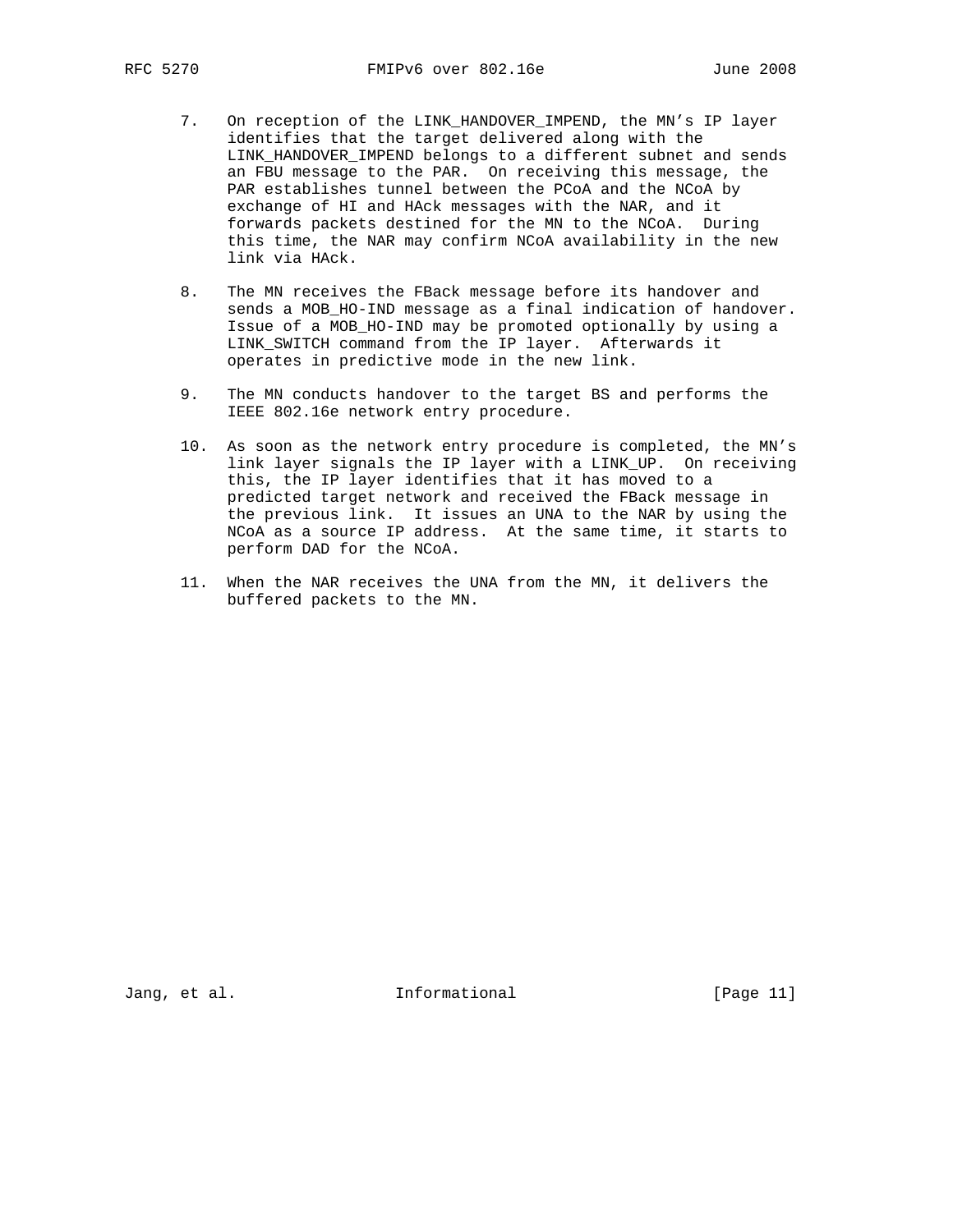- 7. On reception of the LINK\_HANDOVER\_IMPEND, the MN's IP layer identifies that the target delivered along with the LINK\_HANDOVER\_IMPEND belongs to a different subnet and sends an FBU message to the PAR. On receiving this message, the PAR establishes tunnel between the PCoA and the NCoA by exchange of HI and HAck messages with the NAR, and it forwards packets destined for the MN to the NCoA. During this time, the NAR may confirm NCoA availability in the new link via HAck.
- 8. The MN receives the FBack message before its handover and sends a MOB\_HO-IND message as a final indication of handover. Issue of a MOB\_HO-IND may be promoted optionally by using a LINK\_SWITCH command from the IP layer. Afterwards it operates in predictive mode in the new link.
- 9. The MN conducts handover to the target BS and performs the IEEE 802.16e network entry procedure.
- 10. As soon as the network entry procedure is completed, the MN's link layer signals the IP layer with a LINK\_UP. On receiving this, the IP layer identifies that it has moved to a predicted target network and received the FBack message in the previous link. It issues an UNA to the NAR by using the NCoA as a source IP address. At the same time, it starts to perform DAD for the NCoA.
- 11. When the NAR receives the UNA from the MN, it delivers the buffered packets to the MN.

Jang, et al. 10. Informational 1. [Page 11]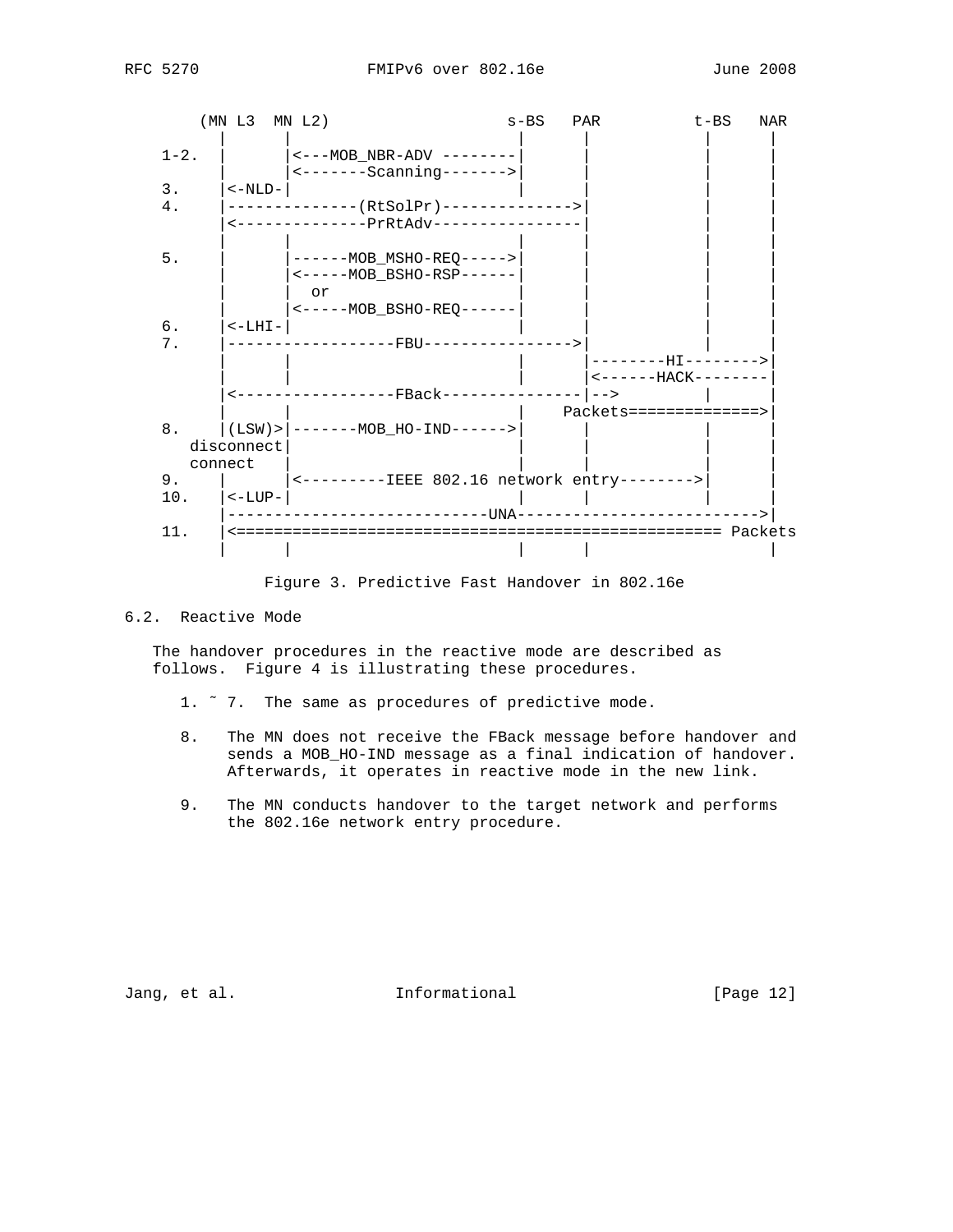



Figure 3. Predictive Fast Handover in 802.16e

# 6.2. Reactive Mode

 The handover procedures in the reactive mode are described as follows. Figure 4 is illustrating these procedures.

- 1. ˜ 7. The same as procedures of predictive mode.
- 8. The MN does not receive the FBack message before handover and sends a MOB\_HO-IND message as a final indication of handover. Afterwards, it operates in reactive mode in the new link.
- 9. The MN conducts handover to the target network and performs the 802.16e network entry procedure.

Jang, et al. 10. Informational 1. [Page 12]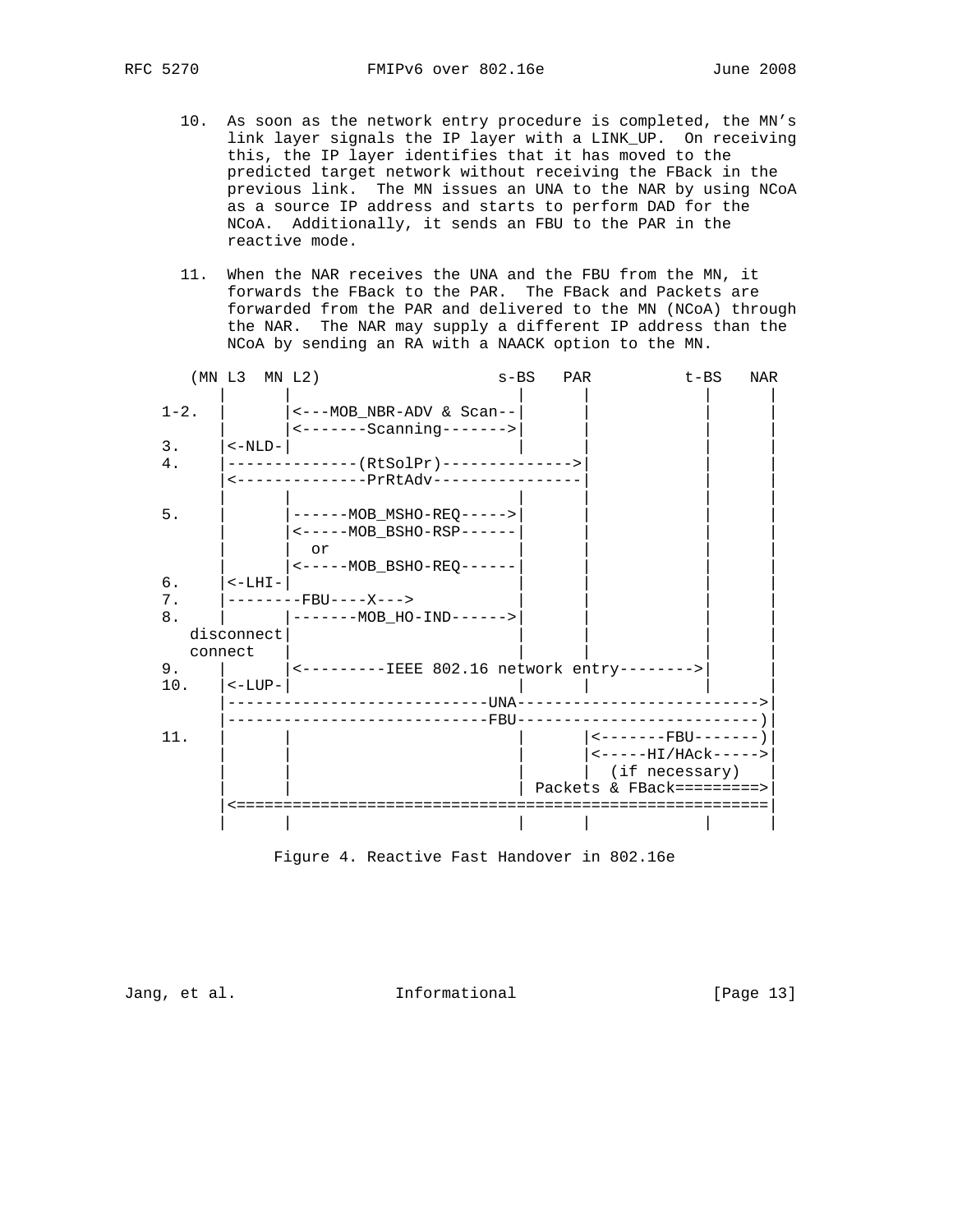- 10. As soon as the network entry procedure is completed, the MN's link layer signals the IP layer with a LINK\_UP. On receiving this, the IP layer identifies that it has moved to the predicted target network without receiving the FBack in the previous link. The MN issues an UNA to the NAR by using NCoA as a source IP address and starts to perform DAD for the NCoA. Additionally, it sends an FBU to the PAR in the reactive mode.
- 11. When the NAR receives the UNA and the FBU from the MN, it forwards the FBack to the PAR. The FBack and Packets are forwarded from the PAR and delivered to the MN (NCoA) through the NAR. The NAR may supply a different IP address than the NCoA by sending an RA with a NAACK option to the MN.

| $1 - 2$ .<br><---MOB_NBR-ADV & Scan--<br>$\textrm{---Scanning---}$<br>3.<br>$<-NLD-$<br>4.<br>--------------(RtSolPr)--------------><br><--------------PrRtAdv-----------<br>$5.$<br>------MOB MSHO-REO-----><br><-----MOB BSHO-RSP------<br>or<br><-----MOB BSHO-REO------<br>б.<br>$<$ -LHI-<br>7.<br>$-----FRI$ ---X---><br>8.<br> -------MOB_HO-IND------><br>disconnect<br>connect<br>9.<br><---------IEEE 802.16 network entry--------><br>10.<br>$\vert$ <-LUP-<br>11.<br>$\leftarrow$ - - - - - - - FBU - - - - - - - )<br>$---HI/HACK---->$<br>(if necessary)<br>Packets & FBack=========> | (MN L3 MN L2) |  | $s-BS$ | PAR | t-BS | NAR |
|-----------------------------------------------------------------------------------------------------------------------------------------------------------------------------------------------------------------------------------------------------------------------------------------------------------------------------------------------------------------------------------------------------------------------------------------------------------------------------------------------------------------------------------------------------------------------------------------------------|---------------|--|--------|-----|------|-----|
|                                                                                                                                                                                                                                                                                                                                                                                                                                                                                                                                                                                                     |               |  |        |     |      |     |
|                                                                                                                                                                                                                                                                                                                                                                                                                                                                                                                                                                                                     |               |  |        |     |      |     |
|                                                                                                                                                                                                                                                                                                                                                                                                                                                                                                                                                                                                     |               |  |        |     |      |     |
|                                                                                                                                                                                                                                                                                                                                                                                                                                                                                                                                                                                                     |               |  |        |     |      |     |
|                                                                                                                                                                                                                                                                                                                                                                                                                                                                                                                                                                                                     |               |  |        |     |      |     |
|                                                                                                                                                                                                                                                                                                                                                                                                                                                                                                                                                                                                     |               |  |        |     |      |     |
|                                                                                                                                                                                                                                                                                                                                                                                                                                                                                                                                                                                                     |               |  |        |     |      |     |
|                                                                                                                                                                                                                                                                                                                                                                                                                                                                                                                                                                                                     |               |  |        |     |      |     |
|                                                                                                                                                                                                                                                                                                                                                                                                                                                                                                                                                                                                     |               |  |        |     |      |     |
|                                                                                                                                                                                                                                                                                                                                                                                                                                                                                                                                                                                                     |               |  |        |     |      |     |
|                                                                                                                                                                                                                                                                                                                                                                                                                                                                                                                                                                                                     |               |  |        |     |      |     |
|                                                                                                                                                                                                                                                                                                                                                                                                                                                                                                                                                                                                     |               |  |        |     |      |     |
|                                                                                                                                                                                                                                                                                                                                                                                                                                                                                                                                                                                                     |               |  |        |     |      |     |
|                                                                                                                                                                                                                                                                                                                                                                                                                                                                                                                                                                                                     |               |  |        |     |      |     |
|                                                                                                                                                                                                                                                                                                                                                                                                                                                                                                                                                                                                     |               |  |        |     |      |     |
|                                                                                                                                                                                                                                                                                                                                                                                                                                                                                                                                                                                                     |               |  |        |     |      |     |

Figure 4. Reactive Fast Handover in 802.16e

Jang, et al. 10. Informational 1. [Page 13]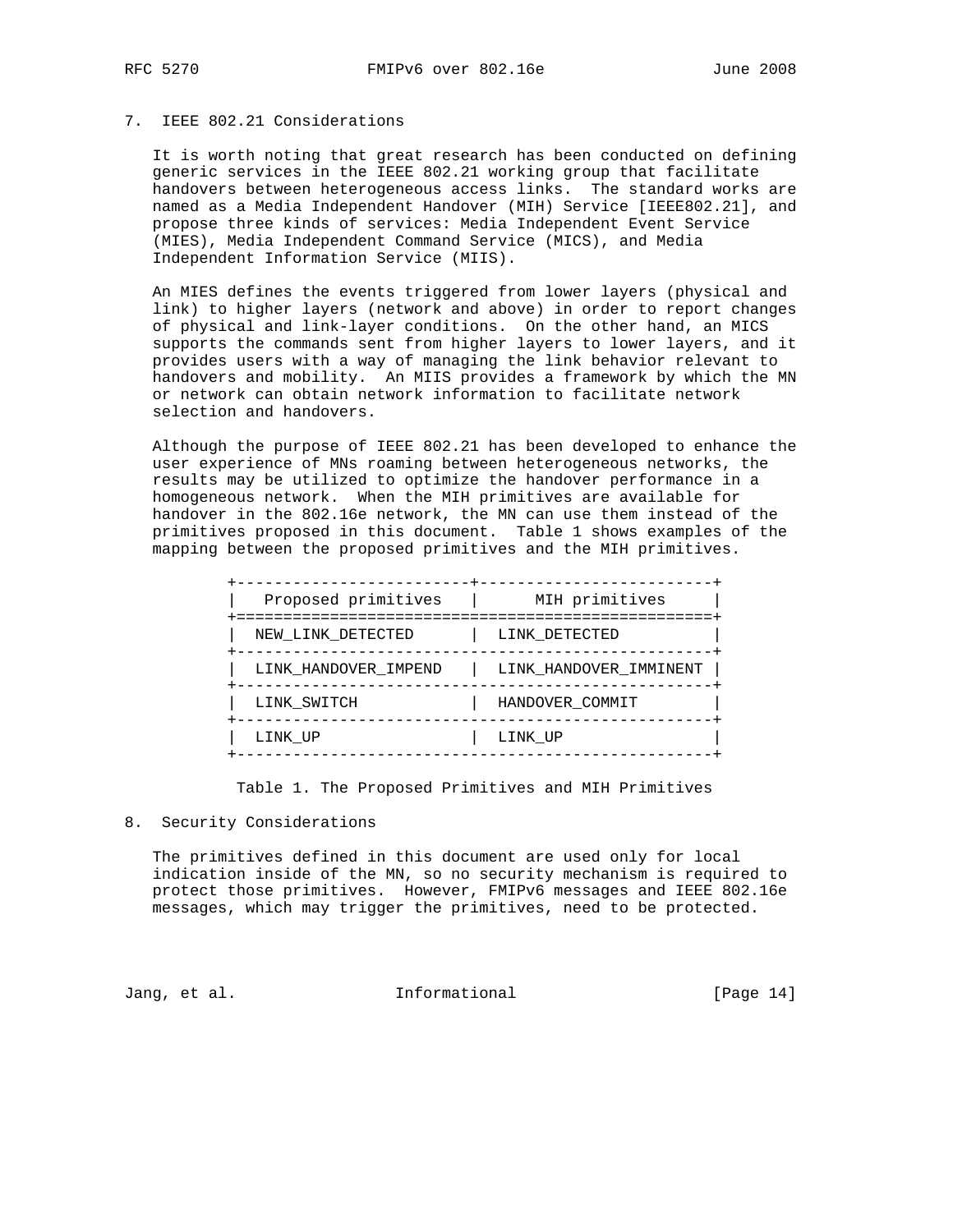# 7. IEEE 802.21 Considerations

 It is worth noting that great research has been conducted on defining generic services in the IEEE 802.21 working group that facilitate handovers between heterogeneous access links. The standard works are named as a Media Independent Handover (MIH) Service [IEEE802.21], and propose three kinds of services: Media Independent Event Service (MIES), Media Independent Command Service (MICS), and Media Independent Information Service (MIIS).

 An MIES defines the events triggered from lower layers (physical and link) to higher layers (network and above) in order to report changes of physical and link-layer conditions. On the other hand, an MICS supports the commands sent from higher layers to lower layers, and it provides users with a way of managing the link behavior relevant to handovers and mobility. An MIIS provides a framework by which the MN or network can obtain network information to facilitate network selection and handovers.

 Although the purpose of IEEE 802.21 has been developed to enhance the user experience of MNs roaming between heterogeneous networks, the results may be utilized to optimize the handover performance in a homogeneous network. When the MIH primitives are available for handover in the 802.16e network, the MN can use them instead of the primitives proposed in this document. Table 1 shows examples of the mapping between the proposed primitives and the MIH primitives.

| Proposed primitives  | MIH primitives<br>========================== |
|----------------------|----------------------------------------------|
| NEW LINK DETECTED    | LINK DETECTED                                |
| LINK HANDOVER IMPEND | LINK HANDOVER IMMINENT                       |
| LINK SWITCH          | HANDOVER COMMIT                              |
| LINK UP              | LINK UP                                      |

## Table 1. The Proposed Primitives and MIH Primitives

# 8. Security Considerations

 The primitives defined in this document are used only for local indication inside of the MN, so no security mechanism is required to protect those primitives. However, FMIPv6 messages and IEEE 802.16e messages, which may trigger the primitives, need to be protected.

Jang, et al. 10. Informational 1. [Page 14]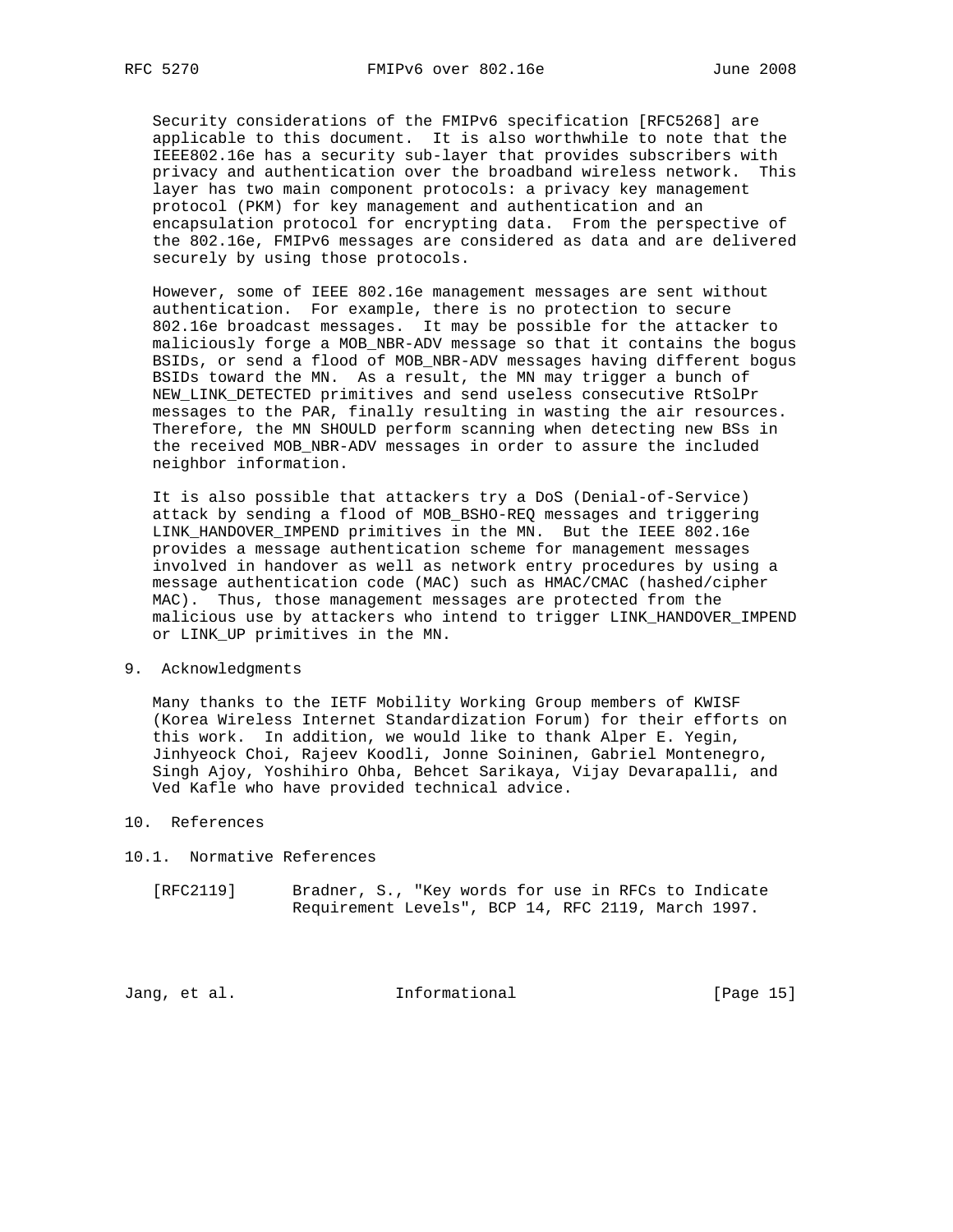Security considerations of the FMIPv6 specification [RFC5268] are applicable to this document. It is also worthwhile to note that the IEEE802.16e has a security sub-layer that provides subscribers with privacy and authentication over the broadband wireless network. This layer has two main component protocols: a privacy key management protocol (PKM) for key management and authentication and an encapsulation protocol for encrypting data. From the perspective of the 802.16e, FMIPv6 messages are considered as data and are delivered securely by using those protocols.

 However, some of IEEE 802.16e management messages are sent without authentication. For example, there is no protection to secure 802.16e broadcast messages. It may be possible for the attacker to maliciously forge a MOB\_NBR-ADV message so that it contains the bogus BSIDs, or send a flood of MOB\_NBR-ADV messages having different bogus BSIDs toward the MN. As a result, the MN may trigger a bunch of NEW\_LINK\_DETECTED primitives and send useless consecutive RtSolPr messages to the PAR, finally resulting in wasting the air resources. Therefore, the MN SHOULD perform scanning when detecting new BSs in the received MOB\_NBR-ADV messages in order to assure the included neighbor information.

 It is also possible that attackers try a DoS (Denial-of-Service) attack by sending a flood of MOB\_BSHO-REQ messages and triggering LINK\_HANDOVER\_IMPEND primitives in the MN. But the IEEE 802.16e provides a message authentication scheme for management messages involved in handover as well as network entry procedures by using a message authentication code (MAC) such as HMAC/CMAC (hashed/cipher MAC). Thus, those management messages are protected from the malicious use by attackers who intend to trigger LINK\_HANDOVER\_IMPEND or LINK\_UP primitives in the MN.

#### 9. Acknowledgments

 Many thanks to the IETF Mobility Working Group members of KWISF (Korea Wireless Internet Standardization Forum) for their efforts on this work. In addition, we would like to thank Alper E. Yegin, Jinhyeock Choi, Rajeev Koodli, Jonne Soininen, Gabriel Montenegro, Singh Ajoy, Yoshihiro Ohba, Behcet Sarikaya, Vijay Devarapalli, and Ved Kafle who have provided technical advice.

- 10. References
- 10.1. Normative References
	- [RFC2119] Bradner, S., "Key words for use in RFCs to Indicate Requirement Levels", BCP 14, RFC 2119, March 1997.

Jang, et al. 10. Informational 1. [Page 15]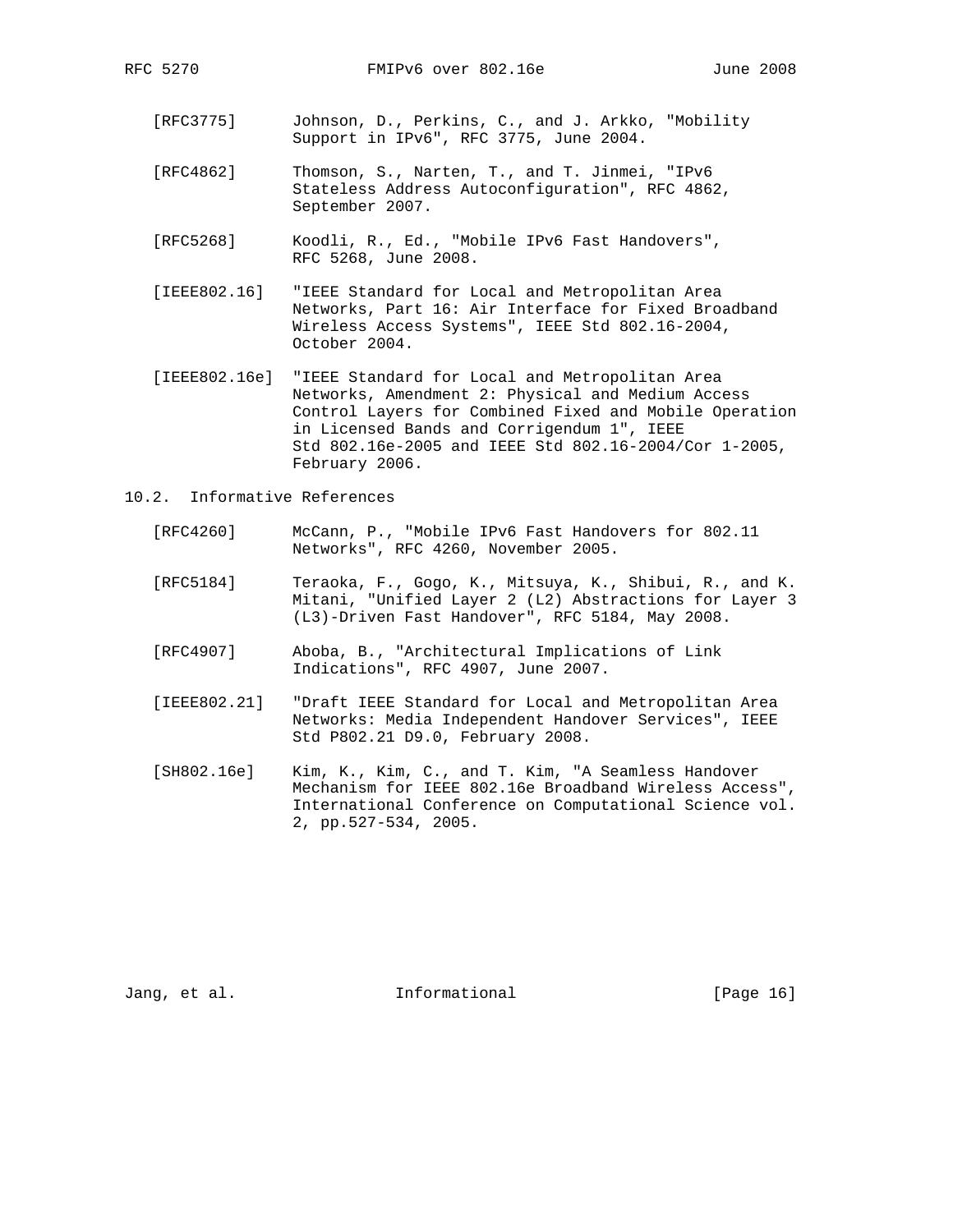- [RFC3775] Johnson, D., Perkins, C., and J. Arkko, "Mobility Support in IPv6", RFC 3775, June 2004.
- [RFC4862] Thomson, S., Narten, T., and T. Jinmei, "IPv6 Stateless Address Autoconfiguration", RFC 4862, September 2007.
- [RFC5268] Koodli, R., Ed., "Mobile IPv6 Fast Handovers", RFC 5268, June 2008.
- [IEEE802.16] "IEEE Standard for Local and Metropolitan Area Networks, Part 16: Air Interface for Fixed Broadband Wireless Access Systems", IEEE Std 802.16-2004, October 2004.
- [IEEE802.16e] "IEEE Standard for Local and Metropolitan Area Networks, Amendment 2: Physical and Medium Access Control Layers for Combined Fixed and Mobile Operation in Licensed Bands and Corrigendum 1", IEEE Std 802.16e-2005 and IEEE Std 802.16-2004/Cor 1-2005, February 2006.
- 10.2. Informative References
	- [RFC4260] McCann, P., "Mobile IPv6 Fast Handovers for 802.11 Networks", RFC 4260, November 2005.
	- [RFC5184] Teraoka, F., Gogo, K., Mitsuya, K., Shibui, R., and K. Mitani, "Unified Layer 2 (L2) Abstractions for Layer 3 (L3)-Driven Fast Handover", RFC 5184, May 2008.
	- [RFC4907] Aboba, B., "Architectural Implications of Link Indications", RFC 4907, June 2007.
	- [IEEE802.21] "Draft IEEE Standard for Local and Metropolitan Area Networks: Media Independent Handover Services", IEEE Std P802.21 D9.0, February 2008.
	- [SH802.16e] Kim, K., Kim, C., and T. Kim, "A Seamless Handover Mechanism for IEEE 802.16e Broadband Wireless Access", International Conference on Computational Science vol. 2, pp.527-534, 2005.

Jang, et al. 10. Informational 1. [Page 16]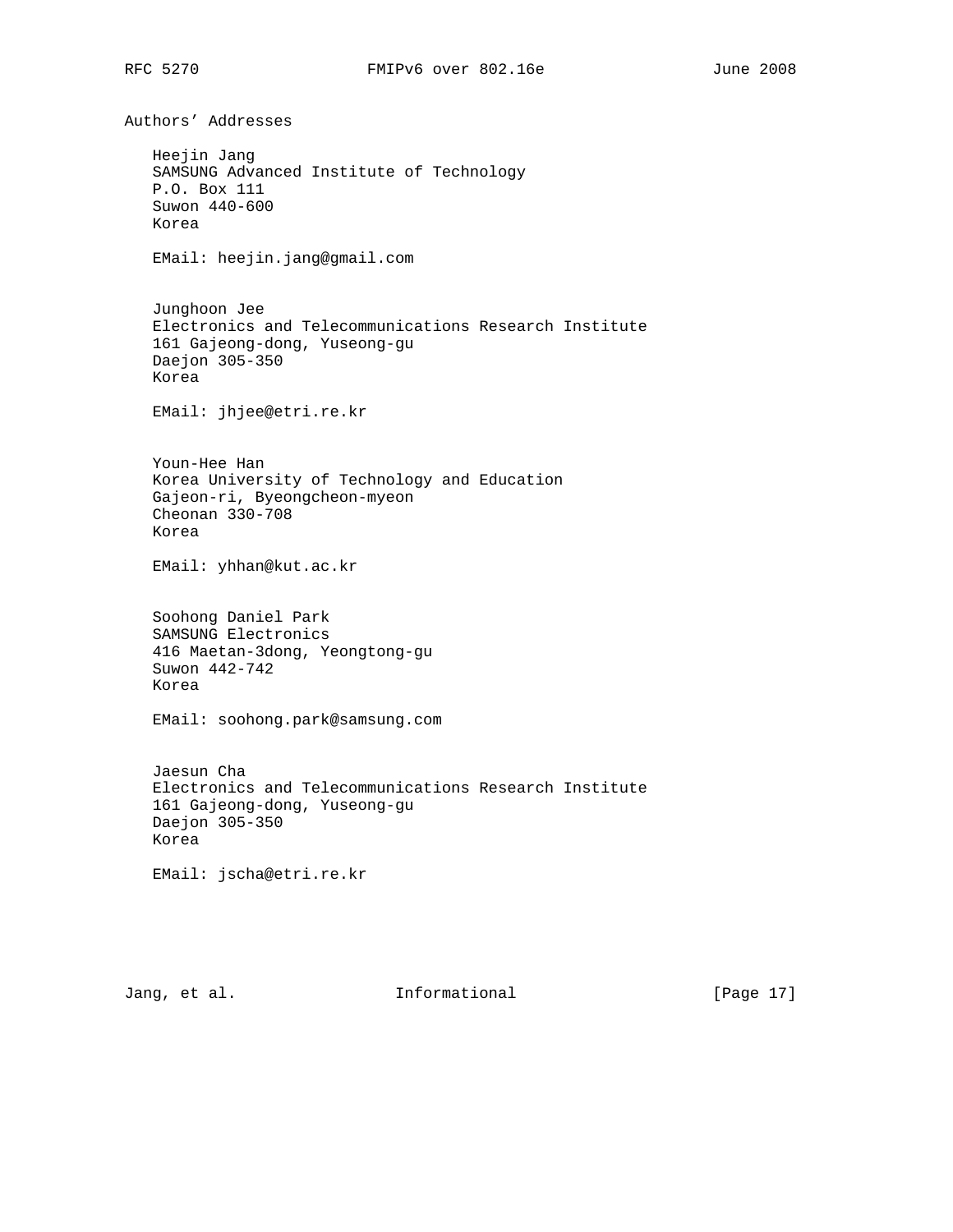Authors' Addresses Heejin Jang SAMSUNG Advanced Institute of Technology P.O. Box 111 Suwon 440-600 Korea EMail: heejin.jang@gmail.com Junghoon Jee Electronics and Telecommunications Research Institute 161 Gajeong-dong, Yuseong-gu Daejon 305-350 Korea EMail: jhjee@etri.re.kr Youn-Hee Han Korea University of Technology and Education Gajeon-ri, Byeongcheon-myeon Cheonan 330-708 Korea EMail: yhhan@kut.ac.kr Soohong Daniel Park SAMSUNG Electronics 416 Maetan-3dong, Yeongtong-gu Suwon 442-742 Korea EMail: soohong.park@samsung.com Jaesun Cha Electronics and Telecommunications Research Institute 161 Gajeong-dong, Yuseong-gu Daejon 305-350 Korea EMail: jscha@etri.re.kr

Jang, et al. **Informational** [Page 17]